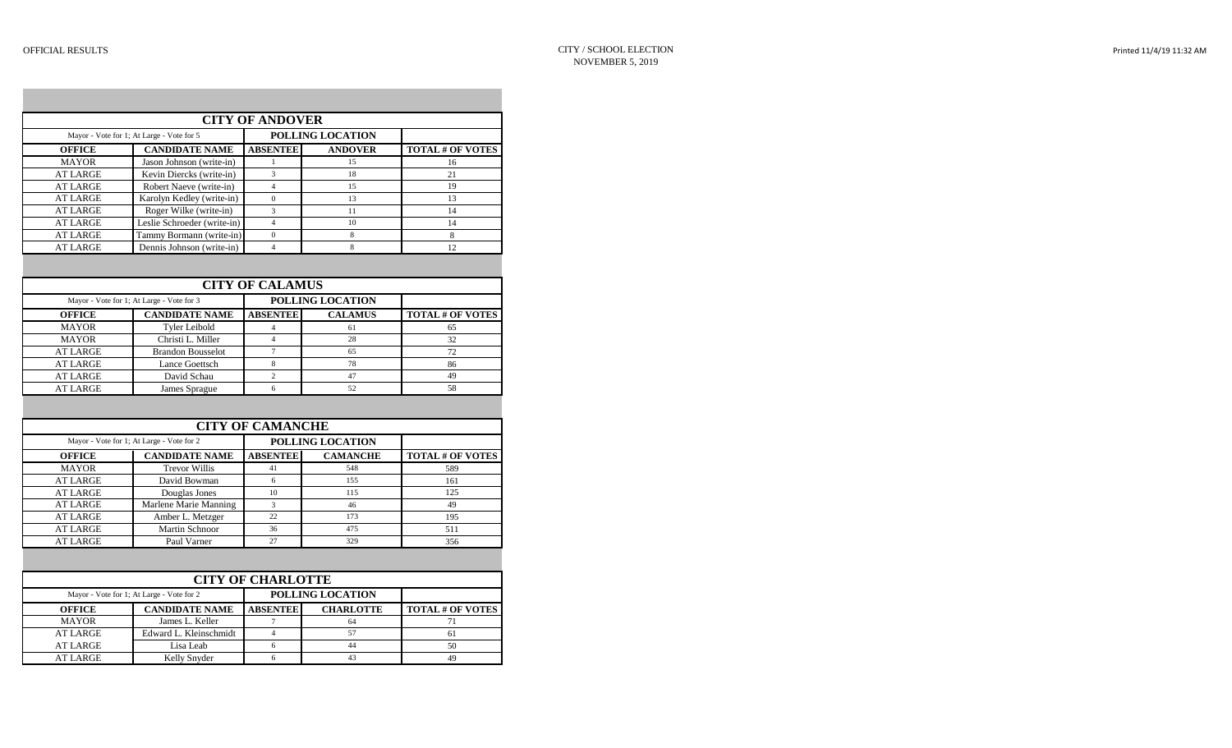|  |  | Printed 11/4/19 11:32 AM |
|--|--|--------------------------|
|--|--|--------------------------|

|                                    |                                           | <b>CITY OF ANDOVER</b>   |                         |                         |
|------------------------------------|-------------------------------------------|--------------------------|-------------------------|-------------------------|
|                                    | Mayor - Vote for 1; At Large - Vote for 5 |                          | POLLING LOCATION        |                         |
| <b>OFFICE</b>                      | <b>CANDIDATE NAME</b>                     | <b>ABSENTEE</b>          | <b>ANDOVER</b>          | <b>TOTAL # OF VOTES</b> |
| <b>MAYOR</b>                       | Jason Johnson (write-in)                  | $\mathbf{1}$             | 15                      | 16                      |
| <b>AT LARGE</b>                    | Kevin Diercks (write-in)                  | $\overline{3}$           | 18                      | 21                      |
| <b>AT LARGE</b>                    | Robert Naeve (write-in)                   | $\overline{4}$           | 15                      | 19                      |
| <b>AT LARGE</b>                    | Karolyn Kedley (write-in)                 | $\mathbf{0}$             | 13                      | 13                      |
| <b>AT LARGE</b>                    | Roger Wilke (write-in)                    | 3                        | 11                      | 14                      |
| <b>AT LARGE</b>                    | Leslie Schroeder (write-in)               | $\overline{4}$           | 10                      | 14                      |
| <b>AT LARGE</b>                    | Tammy Bormann (write-in)                  | $\overline{0}$           | 8                       | 8                       |
| <b>AT LARGE</b>                    | Dennis Johnson (write-in)                 | $\overline{\mathbf{4}}$  | 8                       | 12                      |
|                                    |                                           | <b>CITY OF CALAMUS</b>   |                         |                         |
|                                    | Mayor - Vote for 1; At Large - Vote for 3 |                          | <b>POLLING LOCATION</b> |                         |
| <b>OFFICE</b>                      | <b>CANDIDATE NAME</b>                     | <b>ABSENTEE</b>          | <b>CALAMUS</b>          | <b>TOTAL # OF VOTES</b> |
| <b>MAYOR</b>                       | <b>Tyler Leibold</b>                      | $\overline{4}$           | 61                      | 65                      |
| <b>MAYOR</b>                       | Christi L. Miller                         | $\overline{4}$           | 28                      | 32                      |
| <b>AT LARGE</b>                    | <b>Brandon Bousselot</b>                  | $\overline{7}$           | 65                      | 72                      |
| <b>AT LARGE</b>                    | <b>Lance Goettsch</b>                     | 8                        | 78                      | 86                      |
| <b>AT LARGE</b>                    | David Schau                               | $\overline{c}$           | 47                      | 49                      |
| <b>AT LARGE</b>                    | James Sprague                             | 6                        | 52                      | 58                      |
|                                    |                                           | <b>CITY OF CAMANCHE</b>  |                         |                         |
|                                    | Mayor - Vote for 1; At Large - Vote for 2 |                          | <b>POLLING LOCATION</b> |                         |
| <b>OFFICE</b>                      | <b>CANDIDATE NAME</b>                     | <b>ABSENTEE</b>          | <b>CAMANCHE</b>         | <b>TOTAL # OF VOTES</b> |
|                                    | <b>Trevor Willis</b>                      | 41                       | 548                     | 589                     |
| <b>MAYOR</b>                       |                                           |                          |                         |                         |
| <b>AT LARGE</b>                    | David Bowman                              | 6                        | 155                     | 161                     |
| <b>AT LARGE</b>                    | Douglas Jones                             | 10                       | 115                     | 125                     |
| <b>AT LARGE</b>                    | Marlene Marie Manning                     | 3                        | 46                      | 49                      |
| <b>AT LARGE</b>                    | Amber L. Metzger                          | 22                       | 173                     | 195                     |
| <b>AT LARGE</b>                    | Martin Schnoor                            | 36                       | 475                     | 511                     |
| <b>AT LARGE</b>                    | Paul Varner                               | 27                       | 329                     | 356                     |
|                                    |                                           |                          |                         |                         |
|                                    |                                           | <b>CITY OF CHARLOTTE</b> |                         |                         |
|                                    | Mayor - Vote for 1; At Large - Vote for 2 |                          | <b>POLLING LOCATION</b> |                         |
| <b>OFFICE</b>                      | <b>CANDIDATE NAME</b>                     | <b>ABSENTEE</b>          | <b>CHARLOTTE</b>        | <b>TOTAL # OF VOTES</b> |
| <b>MAYOR</b>                       | James L. Keller                           | $\overline{7}$           | 64                      | 71                      |
| <b>AT LARGE</b>                    | Edward L. Kleinschmidt                    | $\overline{4}$           | 57                      | 61                      |
| <b>AT LARGE</b><br><b>AT LARGE</b> | Lisa Leab<br>Kelly Snyder                 | 6<br>6                   | 44<br>43                | 50<br>49                |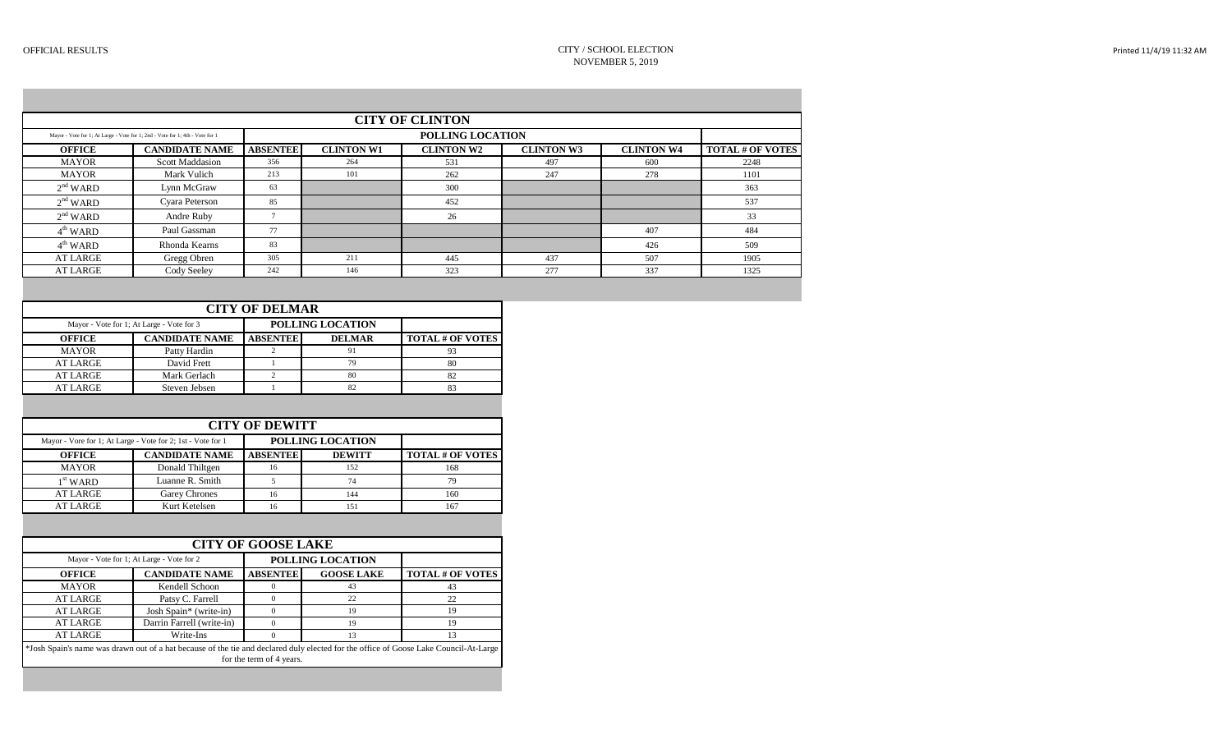|                   |                                                                               |                 |                   | <b>CITY OF CLINTON</b> |                   |                   |                         |
|-------------------|-------------------------------------------------------------------------------|-----------------|-------------------|------------------------|-------------------|-------------------|-------------------------|
|                   | Mayor - Vote for 1; At Large - Vote for 1; 2nd - Vote for 1; 4th - Vote for 1 |                 |                   | POLLING LOCATION       |                   |                   |                         |
| <b>OFFICE</b>     | <b>CANDIDATE NAME</b>                                                         | <b>ABSENTEE</b> | <b>CLINTON W1</b> | <b>CLINTON W2</b>      | <b>CLINTON W3</b> | <b>CLINTON W4</b> | <b>TOTAL # OF VOTES</b> |
| <b>MAYOR</b>      | Scott Maddasion                                                               | 356             | 264               | 531                    | 497               | 600               | 2248                    |
| <b>MAYOR</b>      | Mark Vulich                                                                   | 213             | 101               | 262                    | 247               | 278               | 1101                    |
| $2nd$ WARD        | Lynn McGraw                                                                   | 63              |                   | 300                    |                   |                   | 363                     |
| $2nd$ WARD        | Cyara Peterson                                                                | 85              |                   | 452                    |                   |                   | 537                     |
| $2nd$ WARD        | Andre Ruby                                                                    |                 |                   | 26                     |                   |                   | 33                      |
| $4^{\rm th}$ WARD | Paul Gassman                                                                  | 77              |                   |                        |                   | 407               | 484                     |
| $4^{\rm th}$ WARD | Rhonda Kearns                                                                 | 83              |                   |                        |                   | 426               | 509                     |
| AT LARGE          | Gregg Obren                                                                   | 305             | 211               | 445                    | 437               | 507               | 1905                    |
| <b>AT LARGE</b>   | Cody Seeley                                                                   | 242             | 146               | 323                    | 277               | 337               | 1325                    |

| <b>CITY OF DELMAR</b> |                                           |                 |                  |                         |  |  |  |  |  |
|-----------------------|-------------------------------------------|-----------------|------------------|-------------------------|--|--|--|--|--|
|                       | Mayor - Vote for 1; At Large - Vote for 3 |                 | POLLING LOCATION |                         |  |  |  |  |  |
| <b>OFFICE</b>         | <b>CANDIDATE NAME</b>                     | <b>ABSENTEE</b> | <b>DELMAR</b>    | <b>TOTAL # OF VOTES</b> |  |  |  |  |  |
| <b>MAYOR</b>          | Patty Hardin                              |                 | 91               | 93                      |  |  |  |  |  |
| <b>AT LARGE</b>       | David Frett                               |                 | 79               | 80                      |  |  |  |  |  |
| <b>AT LARGE</b>       | Mark Gerlach                              |                 | 80               | 82                      |  |  |  |  |  |
| <b>AT LARGE</b>       | Steven Jebsen                             |                 | 82               | 83                      |  |  |  |  |  |
|                       |                                           |                 |                  |                         |  |  |  |  |  |
|                       |                                           |                 |                  |                         |  |  |  |  |  |

|                 | <b>CITY OF DEWITT</b>                                       |                 |                  |                         |  |  |  |  |  |  |
|-----------------|-------------------------------------------------------------|-----------------|------------------|-------------------------|--|--|--|--|--|--|
|                 | Mayor - Vore for 1; At Large - Vote for 2; 1st - Vote for 1 |                 | POLLING LOCATION |                         |  |  |  |  |  |  |
| <b>OFFICE</b>   | <b>CANDIDATE NAME</b>                                       | <b>ABSENTEE</b> | <b>DEWITT</b>    | <b>TOTAL # OF VOTES</b> |  |  |  |  |  |  |
| <b>MAYOR</b>    | Donald Thiltgen                                             | 16              | 152              | 168                     |  |  |  |  |  |  |
| $1st$ WARD      | Luanne R. Smith                                             |                 | 74               | 79                      |  |  |  |  |  |  |
| <b>AT LARGE</b> | Garey Chrones                                               | 16              | 144              | 160                     |  |  |  |  |  |  |
| <b>AT LARGE</b> | Kurt Ketelsen                                               |                 | 151              | 167                     |  |  |  |  |  |  |

|                 |                                                                                                                                      | <b>CITY OF GOOSE LAKE</b> |                   |                         |
|-----------------|--------------------------------------------------------------------------------------------------------------------------------------|---------------------------|-------------------|-------------------------|
|                 | Mayor - Vote for 1; At Large - Vote for 2                                                                                            |                           | POLLING LOCATION  |                         |
| <b>OFFICE</b>   | <b>CANDIDATE NAME</b>                                                                                                                | <b>ABSENTEE</b>           | <b>GOOSE LAKE</b> | <b>TOTAL # OF VOTES</b> |
| <b>MAYOR</b>    | Kendell Schoon                                                                                                                       |                           | 43                | 43                      |
| <b>AT LARGE</b> | Patsy C. Farrell                                                                                                                     |                           | 22                | 22                      |
| <b>AT LARGE</b> | Josh Spain* (write-in)                                                                                                               |                           | 19                | 19                      |
| <b>AT LARGE</b> | Darrin Farrell (write-in)                                                                                                            |                           | 19                | 19                      |
| <b>AT LARGE</b> | Write-Ins                                                                                                                            |                           | 13                | 13                      |
|                 | *Josh Spain's name was drawn out of a hat because of the tie and declared duly elected for the office of Goose Lake Council-At-Large | for the term of 4 years.  |                   |                         |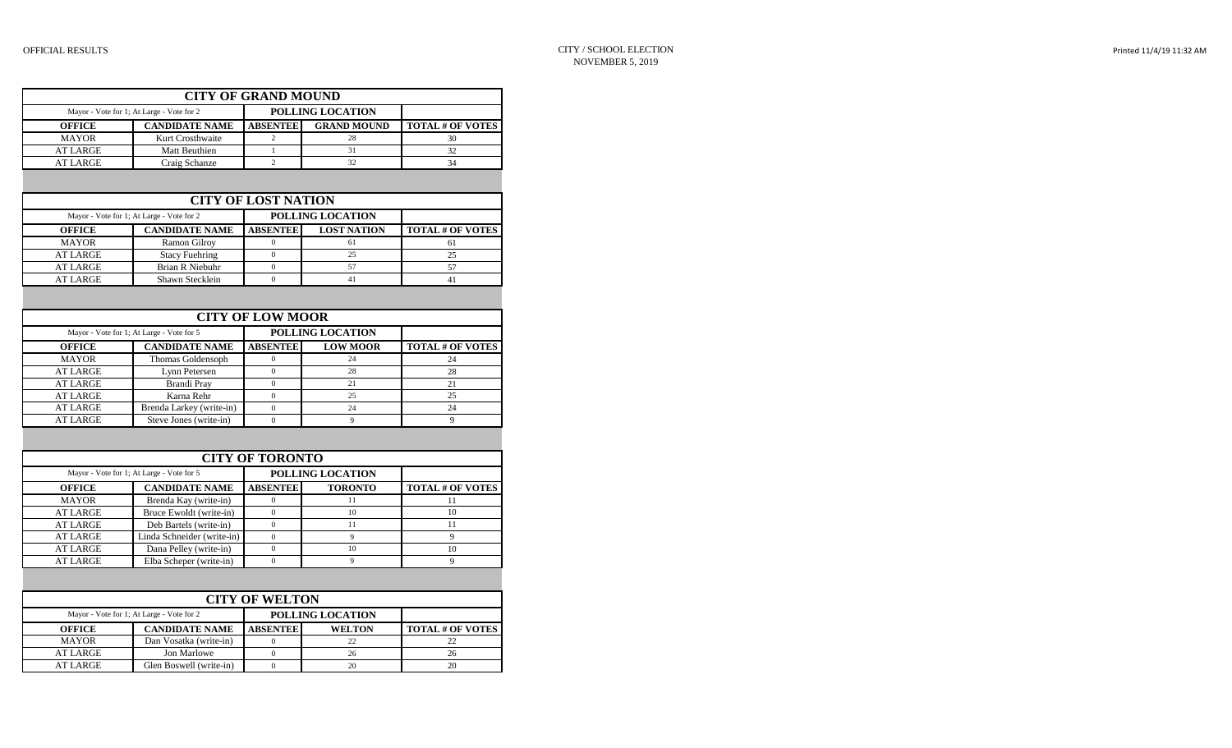|                                    | <b>CITY OF GRAND MOUND</b>                |                            |                         |                         |
|------------------------------------|-------------------------------------------|----------------------------|-------------------------|-------------------------|
|                                    | Mayor - Vote for 1; At Large - Vote for 2 |                            | POLLING LOCATION        |                         |
| <b>OFFICE</b>                      | <b>CANDIDATE NAME</b>                     | <b>ABSENTEE</b>            | <b>GRAND MOUND</b>      | <b>TOTAL # OF VOTES</b> |
| <b>MAYOR</b>                       | Kurt Crosthwaite                          | $\overline{c}$             | 28                      | 30                      |
| <b>AT LARGE</b>                    | Matt Beuthien                             | $\mathbf{1}$               | 31                      | 32                      |
| <b>AT LARGE</b>                    | Craig Schanze                             | $\overline{2}$             | 32                      | 34                      |
|                                    |                                           |                            |                         |                         |
|                                    |                                           | <b>CITY OF LOST NATION</b> |                         |                         |
|                                    | Mayor - Vote for 1; At Large - Vote for 2 |                            | <b>POLLING LOCATION</b> |                         |
| <b>OFFICE</b>                      | <b>CANDIDATE NAME</b>                     | <b>ABSENTEE</b>            | <b>LOST NATION</b>      | <b>TOTAL # OF VOTES</b> |
| <b>MAYOR</b>                       | Ramon Gilroy                              | $\Omega$                   | 61                      | 61                      |
| <b>AT LARGE</b>                    | <b>Stacy Fuehring</b>                     | $\mathbf{0}$               | 25                      | 25                      |
| <b>AT LARGE</b>                    | <b>Brian R Niebuhr</b>                    | $\mathbf{0}$               | 57                      | 57                      |
| <b>AT LARGE</b>                    | Shawn Stecklein                           | $\theta$                   | 41                      | 41                      |
|                                    |                                           |                            |                         |                         |
|                                    |                                           | <b>CITY OF LOW MOOR</b>    |                         |                         |
|                                    | Mayor - Vote for 1; At Large - Vote for 5 |                            | POLLING LOCATION        |                         |
| <b>OFFICE</b>                      | <b>CANDIDATE NAME</b>                     | <b>ABSENTEE</b>            | <b>LOW MOOR</b>         | <b>TOTAL # OF VOTES</b> |
| <b>MAYOR</b>                       | Thomas Goldensoph                         | $\mathbf{0}$               | 24                      | 24                      |
| <b>AT LARGE</b>                    | Lynn Petersen                             | $\overline{0}$             | 28                      | 28                      |
| <b>AT LARGE</b>                    | <b>Brandi Pray</b>                        | $\boldsymbol{0}$           | 21                      | 21                      |
| <b>AT LARGE</b>                    | Karna Rehr                                | $\mathbf{0}$               | 25                      | 25                      |
| <b>AT LARGE</b>                    | Brenda Larkey (write-in)                  | $\overline{0}$             | 24                      | 24                      |
| <b>AT LARGE</b>                    | Steve Jones (write-in)                    | $\theta$                   | $\mathbf{Q}$            | $\mathbf Q$             |
|                                    |                                           |                            |                         |                         |
|                                    |                                           |                            |                         |                         |
|                                    |                                           | <b>CITY OF TORONTO</b>     |                         |                         |
|                                    | Mayor - Vote for 1; At Large - Vote for 5 |                            | <b>POLLING LOCATION</b> |                         |
|                                    |                                           |                            |                         |                         |
| <b>OFFICE</b>                      | <b>CANDIDATE NAME</b>                     | <b>ABSENTEE</b>            | <b>TORONTO</b>          | <b>TOTAL # OF VOTES</b> |
| <b>MAYOR</b>                       | Brenda Kay (write-in)                     | $\mathbf{0}$<br>$\theta$   | 11<br>10                | 11<br>10                |
| <b>AT LARGE</b>                    | Bruce Ewoldt (write-in)                   | $\theta$                   |                         |                         |
|                                    | Deb Bartels (write-in)                    | $\mathbf{0}$               | 11<br>$\mathbf{Q}$      | 11                      |
|                                    | Linda Schneider (write-in)                | $\mathbf{0}$               | 10                      | 9<br>10                 |
| <b>AT LARGE</b><br><b>AT LARGE</b> | Dana Pelley (write-in)                    | $\overline{0}$             | $\mathbf{Q}$            | $\overline{Q}$          |
| <b>AT LARGE</b><br><b>AT LARGE</b> | Elba Scheper (write-in)                   |                            |                         |                         |
|                                    |                                           |                            |                         |                         |
|                                    | Mayor - Vote for 1; At Large - Vote for 2 | <b>CITY OF WELTON</b>      | POLLING LOCATION        |                         |
| <b>OFFICE</b>                      | <b>CANDIDATE NAME</b>                     | <b>ABSENTEE</b>            | <b>WELTON</b>           | <b>TOTAL # OF VOTES</b> |
| <b>MAYOR</b>                       | Dan Vosatka (write-in)                    | $\mathbf{0}$               | 22                      | 22                      |
| <b>AT LARGE</b>                    | Jon Marlowe                               | $\mathbf{0}$               | 26                      | 26                      |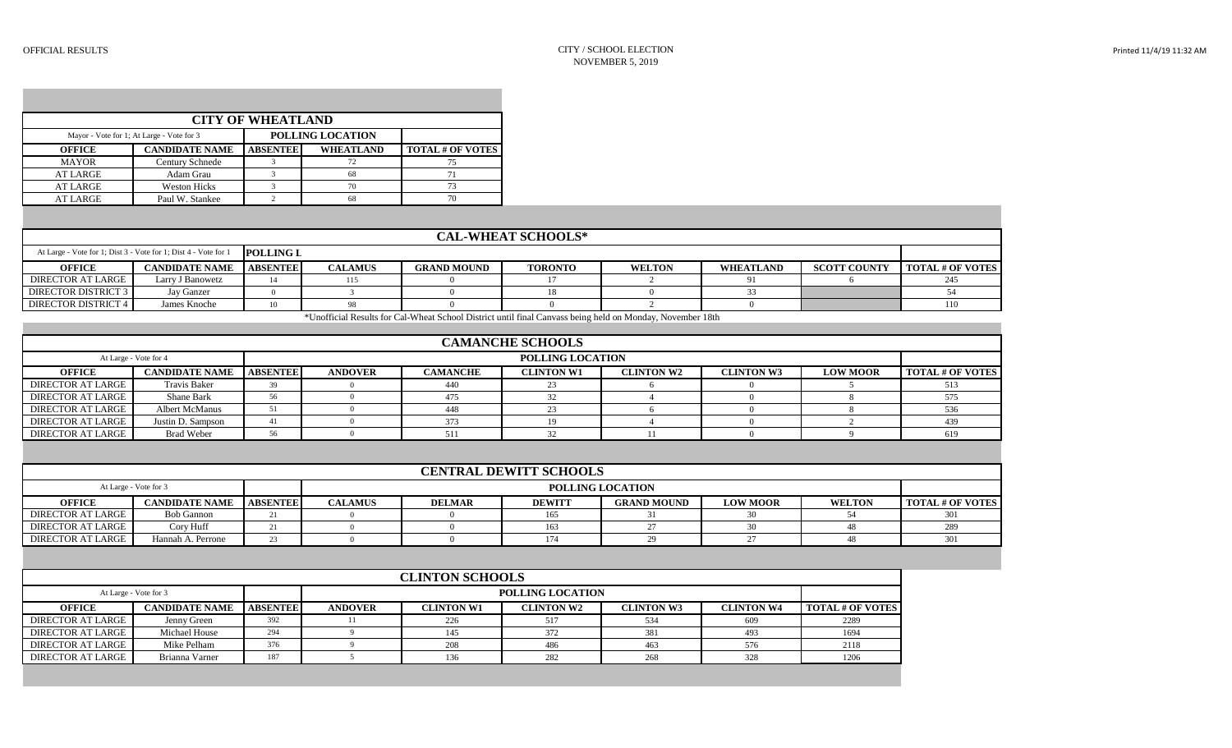| <b>CITY OF WHEATLAND</b>                                      |                       |                 |                  |                         |  |  |  |  |  |
|---------------------------------------------------------------|-----------------------|-----------------|------------------|-------------------------|--|--|--|--|--|
| POLLING LOCATION<br>Mayor - Vote for 1; At Large - Vote for 3 |                       |                 |                  |                         |  |  |  |  |  |
| <b>OFFICE</b>                                                 | <b>CANDIDATE NAME</b> | <b>ABSENTEE</b> | <b>WHEATLAND</b> | <b>TOTAL # OF VOTES</b> |  |  |  |  |  |
| <b>MAYOR</b>                                                  | Century Schnede       |                 |                  | 75                      |  |  |  |  |  |
| <b>AT LARGE</b>                                               | Adam Grau             |                 | 68               | 71                      |  |  |  |  |  |
| <b>AT LARGE</b>                                               | <b>Weston Hicks</b>   |                 | 70               | 73                      |  |  |  |  |  |
| <b>AT LARGE</b>                                               | Paul W. Stankee       |                 | 68               | 70                      |  |  |  |  |  |

| <b>CAL-WHEAT SCHOOLS*</b>                                                           |                       |                 |                |                    |                |               |                  |                     |                         |  |
|-------------------------------------------------------------------------------------|-----------------------|-----------------|----------------|--------------------|----------------|---------------|------------------|---------------------|-------------------------|--|
| At Large - Vote for 1; Dist 3 - Vote for 1; Dist 4 - Vote for 1<br><b>POLLING L</b> |                       |                 |                |                    |                |               |                  |                     |                         |  |
| <b>OFFICE</b>                                                                       | <b>CANDIDATE NAME</b> | <b>ABSENTEE</b> | <b>CALAMUS</b> | <b>GRAND MOUND</b> | <b>TORONTO</b> | <b>WELTON</b> | <b>WHEATLAND</b> | <b>SCOTT COUNTY</b> | <b>TOTAL # OF VOTES</b> |  |
| <b>DIRECTOR AT LARGE</b>                                                            | Larry J Banowetz      |                 | 115            |                    |                |               |                  |                     |                         |  |
| DIRECTOR DISTRICT 3                                                                 | Jay Ganzer            |                 |                |                    |                |               |                  |                     |                         |  |
| <b>DIRECTOR DISTRICT 4</b>                                                          | James Knoche          | 10              |                |                    |                |               |                  |                     |                         |  |

\*Unofficial Results for Cal-Wheat School District until final Canvass being held on Monday, November 18th

| <b>CAMANCHE SCHOOLS</b>  |                       |                 |                         |                 |                   |                   |                   |                 |                  |  |
|--------------------------|-----------------------|-----------------|-------------------------|-----------------|-------------------|-------------------|-------------------|-----------------|------------------|--|
|                          | At Large - Vote for 4 |                 | <b>POLLING LOCATION</b> |                 |                   |                   |                   |                 |                  |  |
| <b>OFFICE</b>            | <b>CANDIDATE NAME</b> | <b>ABSENTEE</b> | <b>ANDOVER</b>          | <b>CAMANCHE</b> | <b>CLINTON W1</b> | <b>CLINTON W2</b> | <b>CLINTON W3</b> | <b>LOW MOOR</b> | TOTAL # OF VOTES |  |
| <b>DIRECTOR AT LARGE</b> | <b>Travis Baker</b>   |                 |                         | 440             | 23                |                   |                   |                 |                  |  |
| DIRECTOR AT LARGE        | Shane Bark            | 56              |                         | 475             |                   |                   |                   |                 |                  |  |
| DIRECTOR AT LARGE        | Albert McManus        |                 |                         | 448             |                   |                   |                   |                 |                  |  |
| <b>DIRECTOR AT LARGE</b> | Justin D. Sampson     |                 |                         | 373             | 19                |                   |                   |                 | 430              |  |
| DIRECTOR AT LARGE        | <b>Brad Weber</b>     | 56              |                         | 511             |                   |                   |                   |                 | 619              |  |

| <b>CENTRAL DEWITT SCHOOLS</b>                    |                       |                 |                |               |               |                    |                 |               |                           |  |
|--------------------------------------------------|-----------------------|-----------------|----------------|---------------|---------------|--------------------|-----------------|---------------|---------------------------|--|
| <b>POLLING LOCATION</b><br>At Large - Vote for 3 |                       |                 |                |               |               |                    |                 |               |                           |  |
| <b>OFFICE</b>                                    | <b>CANDIDATE NAME</b> | <b>ABSENTEE</b> | <b>CALAMUS</b> | <b>DELMAR</b> | <b>DEWITT</b> | <b>GRAND MOUND</b> | <b>LOW MOOR</b> | <b>WELTON</b> | <b>I TOTAL # OF VOTES</b> |  |
| <b>DIRECTOR AT LARGE</b>                         | Bob Gannon            |                 |                | 165           |               |                    |                 |               |                           |  |
| DIRECTOR AT LARGE                                | Corv Huff             |                 |                | 163           |               |                    |                 |               |                           |  |
| DIRECTOR AT LARGE                                | Hannah A. Perrone     |                 |                |               | 174           |                    |                 |               |                           |  |

|                   | <b>CLINTON SCHOOLS</b> |                 |                         |                   |                   |                   |                   |                         |  |  |
|-------------------|------------------------|-----------------|-------------------------|-------------------|-------------------|-------------------|-------------------|-------------------------|--|--|
|                   | At Large - Vote for 3  |                 | <b>POLLING LOCATION</b> |                   |                   |                   |                   |                         |  |  |
| <b>OFFICE</b>     | <b>CANDIDATE NAME</b>  | <b>ABSENTEE</b> | <b>ANDOVER</b>          | <b>CLINTON W1</b> | <b>CLINTON W2</b> | <b>CLINTON W3</b> | <b>CLINTON W4</b> | <b>TOTAL # OF VOTES</b> |  |  |
| DIRECTOR AT LARGE | Jenny Green            | 392             |                         | 226               | 517               | 534               | 609               | 2289                    |  |  |
| DIRECTOR AT LARGE | Michael House          | 294             |                         | 145               | 372               | 381               | 493               | 1694                    |  |  |
| DIRECTOR AT LARGE | Mike Pelham            | 376             |                         | 208               | 486               | 463               | 576               | 2118                    |  |  |
| DIRECTOR AT LARGE | Brianna Varner         | 187             |                         | 136               | 282               | 268               | 328               | 1206                    |  |  |
|                   |                        |                 |                         |                   |                   |                   |                   |                         |  |  |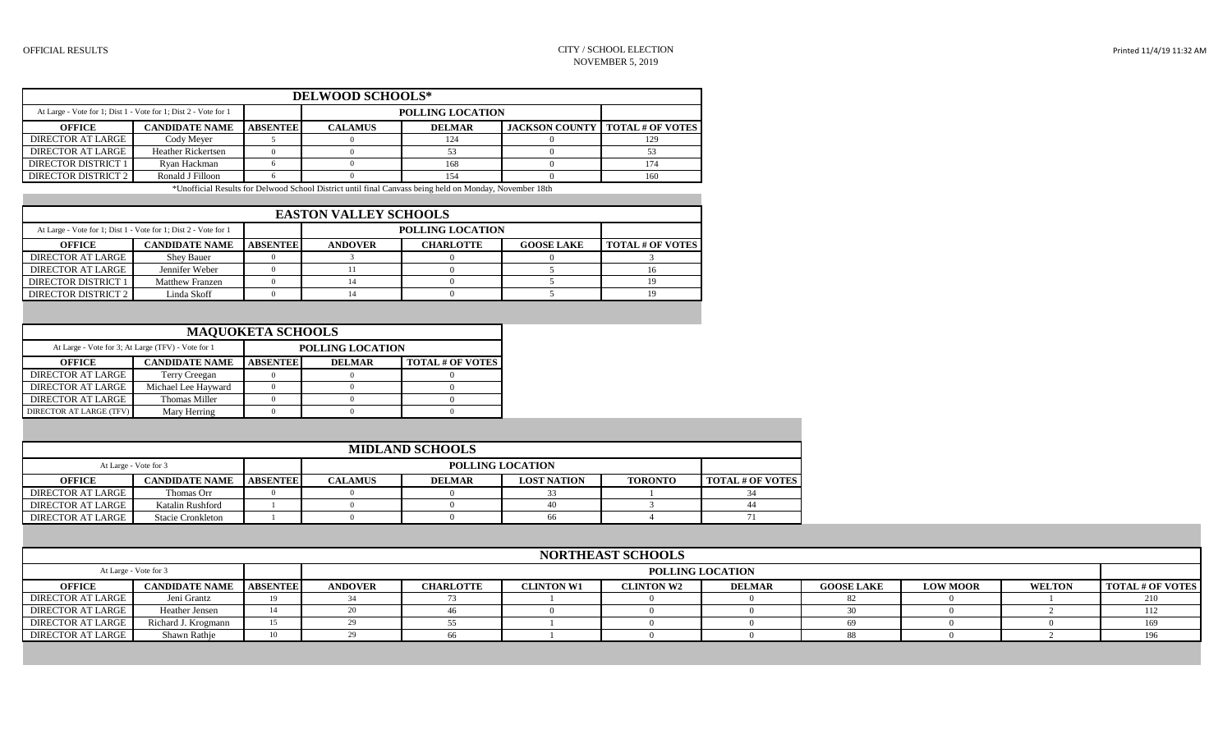| <b>DELWOOD SCHOOLS*</b>                                         |                       |                         |                |               |  |                                          |  |  |  |  |
|-----------------------------------------------------------------|-----------------------|-------------------------|----------------|---------------|--|------------------------------------------|--|--|--|--|
| At Large - Vote for 1; Dist 1 - Vote for 1; Dist 2 - Vote for 1 |                       | <b>POLLING LOCATION</b> |                |               |  |                                          |  |  |  |  |
| <b>OFFICE</b>                                                   | <b>CANDIDATE NAME</b> | <b>ABSENTEE</b>         | <b>CALAMUS</b> | <b>DELMAR</b> |  | <b>JACKSON COUNTY   TOTAL # OF VOTES</b> |  |  |  |  |
| <b>DIRECTOR AT LARGE</b>                                        | Cody Mever            |                         |                | 124           |  | 129                                      |  |  |  |  |
| DIRECTOR AT LARGE                                               | Heather Rickertsen    |                         |                |               |  |                                          |  |  |  |  |
| DIRECTOR DISTRICT 1                                             | Rvan Hackman          |                         |                | 168           |  | 174                                      |  |  |  |  |
| <b>DIRECTOR DISTRICT 2</b>                                      | Ronald J Filloon      |                         |                | 154           |  | 160                                      |  |  |  |  |

\*Unofficial Results for Delwood School District until final Canvass being held on Monday, November 18th

| <b>EASTON VALLEY SCHOOLS</b> |                                                                 |                 |                         |                         |  |  |  |  |  |  |  |
|------------------------------|-----------------------------------------------------------------|-----------------|-------------------------|-------------------------|--|--|--|--|--|--|--|
|                              | At Large - Vote for 1; Dist 1 - Vote for 1; Dist 2 - Vote for 1 |                 | <b>POLLING LOCATION</b> |                         |  |  |  |  |  |  |  |
| OFFICE                       | <b>CANDIDATE NAME</b>                                           | <b>ABSENTEE</b> | <b>ANDOVER</b>          | <b>TOTAL # OF VOTES</b> |  |  |  |  |  |  |  |
| DIRECTOR AT LARGE            | <b>Shev Bauer</b>                                               |                 |                         |                         |  |  |  |  |  |  |  |
| <b>DIRECTOR AT LARGE</b>     | Jennifer Weber                                                  |                 |                         |                         |  |  |  |  |  |  |  |
| <b>DIRECTOR DISTRICT 1</b>   | Matthew Franzen                                                 |                 |                         |                         |  |  |  |  |  |  |  |
| DIRECTOR DISTRICT 2          | Linda Skoff                                                     |                 |                         |                         |  |  |  |  |  |  |  |

| <b>MAQUOKETA SCHOOLS</b>       |                                                    |                 |                         |                         |  |  |  |  |  |  |
|--------------------------------|----------------------------------------------------|-----------------|-------------------------|-------------------------|--|--|--|--|--|--|
|                                | At Large - Vote for 3; At Large (TFV) - Vote for 1 |                 | <b>POLLING LOCATION</b> |                         |  |  |  |  |  |  |
| <b>OFFICE</b>                  | <b>CANDIDATE NAME</b>                              | <b>ABSENTEE</b> | <b>DELMAR</b>           | <b>TOTAL # OF VOTES</b> |  |  |  |  |  |  |
| <b>DIRECTOR AT LARGE</b>       | Terry Creegan                                      |                 |                         |                         |  |  |  |  |  |  |
| <b>DIRECTOR AT LARGE</b>       | Michael Lee Hayward                                |                 |                         |                         |  |  |  |  |  |  |
| <b>DIRECTOR AT LARGE</b>       | <b>Thomas Miller</b>                               |                 |                         |                         |  |  |  |  |  |  |
| <b>DIRECTOR AT LARGE (TFV)</b> | Mary Herring                                       |                 |                         |                         |  |  |  |  |  |  |

| <b>MIDLAND SCHOOLS</b>                           |                          |                 |                |                         |  |  |    |  |  |  |  |
|--------------------------------------------------|--------------------------|-----------------|----------------|-------------------------|--|--|----|--|--|--|--|
| <b>POLLING LOCATION</b><br>At Large - Vote for 3 |                          |                 |                |                         |  |  |    |  |  |  |  |
| <b>OFFICE</b>                                    | <b>CANDIDATE NAME</b>    | <b>ABSENTEE</b> | <b>CALAMUS</b> | <b>TOTAL # OF VOTES</b> |  |  |    |  |  |  |  |
| DIRECTOR AT LARGE                                | Thomas Orr               |                 |                |                         |  |  |    |  |  |  |  |
| DIRECTOR AT LARGE                                | Katalin Rushford         |                 |                |                         |  |  | 44 |  |  |  |  |
| DIRECTOR AT LARGE                                | <b>Stacie Cronkleton</b> |                 |                |                         |  |  |    |  |  |  |  |

| <b>NORTHEAST SCHOOLS</b> |                                |    |                |                         |                   |                   |               |                   |                 |               |                         |  |  |
|--------------------------|--------------------------------|----|----------------|-------------------------|-------------------|-------------------|---------------|-------------------|-----------------|---------------|-------------------------|--|--|
|                          | At Large - Vote for 3          |    |                | <b>POLLING LOCATION</b> |                   |                   |               |                   |                 |               |                         |  |  |
| <b>OFFICE</b>            | <b>CANDIDATE NAME ABSENTEE</b> |    | <b>ANDOVER</b> | <b>CHARLOTTE</b>        | <b>CLINTON W1</b> | <b>CLINTON W2</b> | <b>DELMAR</b> | <b>GOOSE LAKE</b> | <b>LOW MOOR</b> | <b>WELTON</b> | <b>TOTAL # OF VOTES</b> |  |  |
| <b>DIRECTOR AT LARGE</b> | Jeni Grantz                    |    |                |                         |                   |                   |               |                   |                 |               | 210                     |  |  |
| <b>DIRECTOR AT LARGE</b> | Heather Jensen                 | 14 |                |                         |                   |                   |               |                   |                 |               | 112                     |  |  |
| <b>DIRECTOR AT LARGE</b> | Richard J. Krogmann            | 15 |                |                         |                   |                   |               |                   |                 |               | 169                     |  |  |
| <b>DIRECTOR AT LARGE</b> | Shawn Rathje                   | 10 |                | 66                      |                   |                   |               |                   |                 |               |                         |  |  |
|                          |                                |    |                |                         |                   |                   |               |                   |                 |               |                         |  |  |